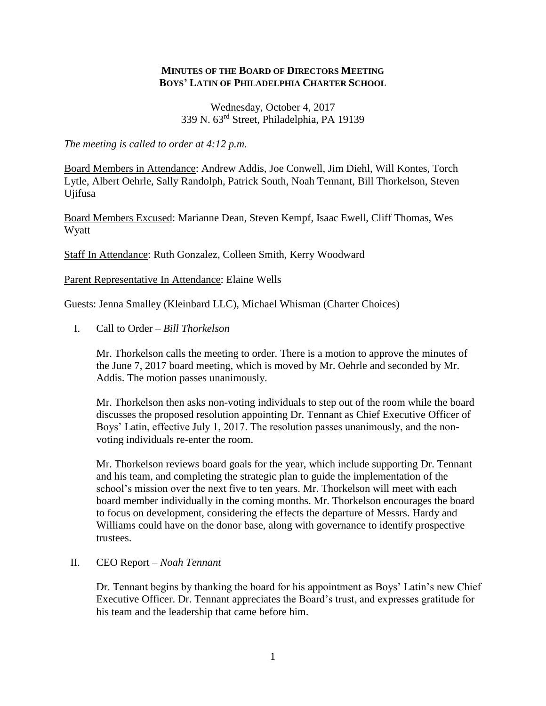## **MINUTES OF THE BOARD OF DIRECTORS MEETING BOYS' LATIN OF PHILADELPHIA CHARTER SCHOOL**

Wednesday, October 4, 2017 339 N. 63rd Street, Philadelphia, PA 19139

*The meeting is called to order at 4:12 p.m.*

Board Members in Attendance: Andrew Addis, Joe Conwell, Jim Diehl, Will Kontes, Torch Lytle, Albert Oehrle, Sally Randolph, Patrick South, Noah Tennant, Bill Thorkelson, Steven Ujifusa

Board Members Excused: Marianne Dean, Steven Kempf, Isaac Ewell, Cliff Thomas, Wes Wyatt

Staff In Attendance: Ruth Gonzalez, Colleen Smith, Kerry Woodward

Parent Representative In Attendance: Elaine Wells

Guests: Jenna Smalley (Kleinbard LLC), Michael Whisman (Charter Choices)

I. Call to Order – *Bill Thorkelson*

Mr. Thorkelson calls the meeting to order. There is a motion to approve the minutes of the June 7, 2017 board meeting, which is moved by Mr. Oehrle and seconded by Mr. Addis. The motion passes unanimously.

Mr. Thorkelson then asks non-voting individuals to step out of the room while the board discusses the proposed resolution appointing Dr. Tennant as Chief Executive Officer of Boys' Latin, effective July 1, 2017. The resolution passes unanimously, and the nonvoting individuals re-enter the room.

Mr. Thorkelson reviews board goals for the year, which include supporting Dr. Tennant and his team, and completing the strategic plan to guide the implementation of the school's mission over the next five to ten years. Mr. Thorkelson will meet with each board member individually in the coming months. Mr. Thorkelson encourages the board to focus on development, considering the effects the departure of Messrs. Hardy and Williams could have on the donor base, along with governance to identify prospective trustees.

## II. CEO Report – *Noah Tennant*

Dr. Tennant begins by thanking the board for his appointment as Boys' Latin's new Chief Executive Officer. Dr. Tennant appreciates the Board's trust, and expresses gratitude for his team and the leadership that came before him.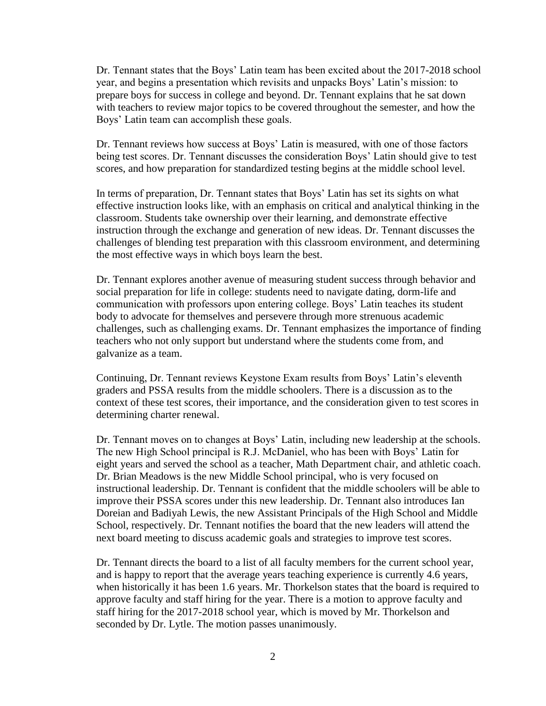Dr. Tennant states that the Boys' Latin team has been excited about the 2017-2018 school year, and begins a presentation which revisits and unpacks Boys' Latin's mission: to prepare boys for success in college and beyond. Dr. Tennant explains that he sat down with teachers to review major topics to be covered throughout the semester, and how the Boys' Latin team can accomplish these goals.

Dr. Tennant reviews how success at Boys' Latin is measured, with one of those factors being test scores. Dr. Tennant discusses the consideration Boys' Latin should give to test scores, and how preparation for standardized testing begins at the middle school level.

In terms of preparation, Dr. Tennant states that Boys' Latin has set its sights on what effective instruction looks like, with an emphasis on critical and analytical thinking in the classroom. Students take ownership over their learning, and demonstrate effective instruction through the exchange and generation of new ideas. Dr. Tennant discusses the challenges of blending test preparation with this classroom environment, and determining the most effective ways in which boys learn the best.

Dr. Tennant explores another avenue of measuring student success through behavior and social preparation for life in college: students need to navigate dating, dorm-life and communication with professors upon entering college. Boys' Latin teaches its student body to advocate for themselves and persevere through more strenuous academic challenges, such as challenging exams. Dr. Tennant emphasizes the importance of finding teachers who not only support but understand where the students come from, and galvanize as a team.

Continuing, Dr. Tennant reviews Keystone Exam results from Boys' Latin's eleventh graders and PSSA results from the middle schoolers. There is a discussion as to the context of these test scores, their importance, and the consideration given to test scores in determining charter renewal.

Dr. Tennant moves on to changes at Boys' Latin, including new leadership at the schools. The new High School principal is R.J. McDaniel, who has been with Boys' Latin for eight years and served the school as a teacher, Math Department chair, and athletic coach. Dr. Brian Meadows is the new Middle School principal, who is very focused on instructional leadership. Dr. Tennant is confident that the middle schoolers will be able to improve their PSSA scores under this new leadership. Dr. Tennant also introduces Ian Doreian and Badiyah Lewis, the new Assistant Principals of the High School and Middle School, respectively. Dr. Tennant notifies the board that the new leaders will attend the next board meeting to discuss academic goals and strategies to improve test scores.

Dr. Tennant directs the board to a list of all faculty members for the current school year, and is happy to report that the average years teaching experience is currently 4.6 years, when historically it has been 1.6 years. Mr. Thorkelson states that the board is required to approve faculty and staff hiring for the year. There is a motion to approve faculty and staff hiring for the 2017-2018 school year, which is moved by Mr. Thorkelson and seconded by Dr. Lytle. The motion passes unanimously.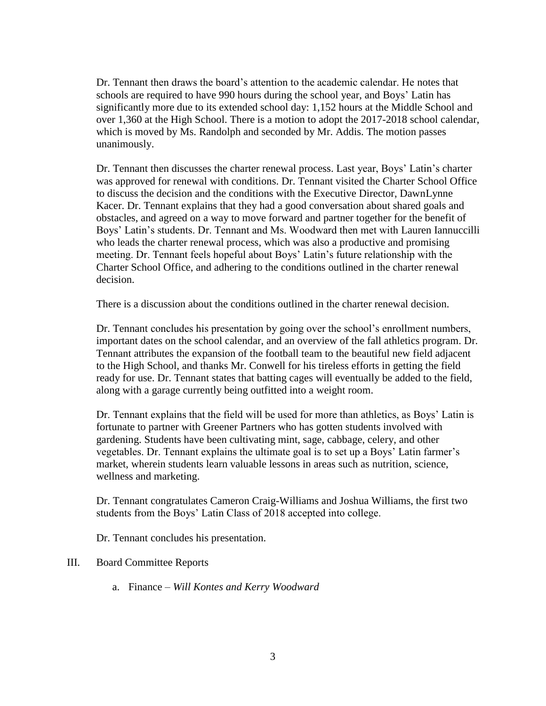Dr. Tennant then draws the board's attention to the academic calendar. He notes that schools are required to have 990 hours during the school year, and Boys' Latin has significantly more due to its extended school day: 1,152 hours at the Middle School and over 1,360 at the High School. There is a motion to adopt the 2017-2018 school calendar, which is moved by Ms. Randolph and seconded by Mr. Addis. The motion passes unanimously.

Dr. Tennant then discusses the charter renewal process. Last year, Boys' Latin's charter was approved for renewal with conditions. Dr. Tennant visited the Charter School Office to discuss the decision and the conditions with the Executive Director, DawnLynne Kacer. Dr. Tennant explains that they had a good conversation about shared goals and obstacles, and agreed on a way to move forward and partner together for the benefit of Boys' Latin's students. Dr. Tennant and Ms. Woodward then met with Lauren Iannuccilli who leads the charter renewal process, which was also a productive and promising meeting. Dr. Tennant feels hopeful about Boys' Latin's future relationship with the Charter School Office, and adhering to the conditions outlined in the charter renewal decision.

There is a discussion about the conditions outlined in the charter renewal decision.

Dr. Tennant concludes his presentation by going over the school's enrollment numbers, important dates on the school calendar, and an overview of the fall athletics program. Dr. Tennant attributes the expansion of the football team to the beautiful new field adjacent to the High School, and thanks Mr. Conwell for his tireless efforts in getting the field ready for use. Dr. Tennant states that batting cages will eventually be added to the field, along with a garage currently being outfitted into a weight room.

Dr. Tennant explains that the field will be used for more than athletics, as Boys' Latin is fortunate to partner with Greener Partners who has gotten students involved with gardening. Students have been cultivating mint, sage, cabbage, celery, and other vegetables. Dr. Tennant explains the ultimate goal is to set up a Boys' Latin farmer's market, wherein students learn valuable lessons in areas such as nutrition, science, wellness and marketing.

Dr. Tennant congratulates Cameron Craig-Williams and Joshua Williams, the first two students from the Boys' Latin Class of 2018 accepted into college.

Dr. Tennant concludes his presentation.

## III. Board Committee Reports

a. Finance – *Will Kontes and Kerry Woodward*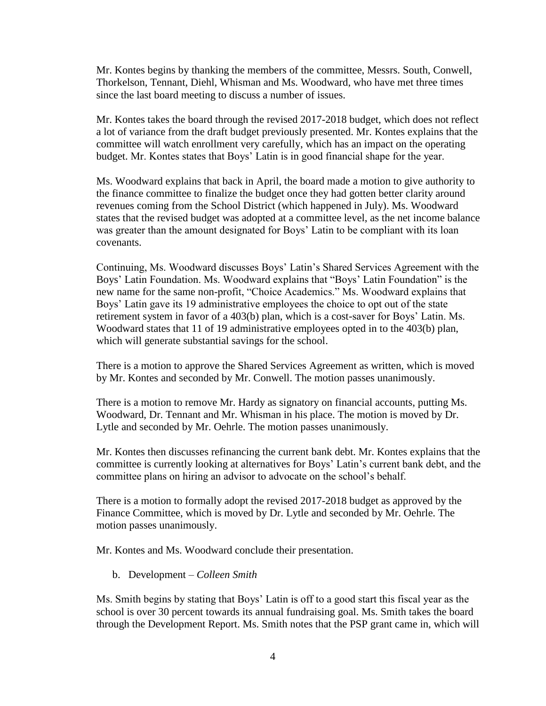Mr. Kontes begins by thanking the members of the committee, Messrs. South, Conwell, Thorkelson, Tennant, Diehl, Whisman and Ms. Woodward, who have met three times since the last board meeting to discuss a number of issues.

Mr. Kontes takes the board through the revised 2017-2018 budget, which does not reflect a lot of variance from the draft budget previously presented. Mr. Kontes explains that the committee will watch enrollment very carefully, which has an impact on the operating budget. Mr. Kontes states that Boys' Latin is in good financial shape for the year.

Ms. Woodward explains that back in April, the board made a motion to give authority to the finance committee to finalize the budget once they had gotten better clarity around revenues coming from the School District (which happened in July). Ms. Woodward states that the revised budget was adopted at a committee level, as the net income balance was greater than the amount designated for Boys' Latin to be compliant with its loan covenants.

Continuing, Ms. Woodward discusses Boys' Latin's Shared Services Agreement with the Boys' Latin Foundation. Ms. Woodward explains that "Boys' Latin Foundation" is the new name for the same non-profit, "Choice Academics." Ms. Woodward explains that Boys' Latin gave its 19 administrative employees the choice to opt out of the state retirement system in favor of a 403(b) plan, which is a cost-saver for Boys' Latin. Ms. Woodward states that 11 of 19 administrative employees opted in to the 403(b) plan, which will generate substantial savings for the school.

There is a motion to approve the Shared Services Agreement as written, which is moved by Mr. Kontes and seconded by Mr. Conwell. The motion passes unanimously.

There is a motion to remove Mr. Hardy as signatory on financial accounts, putting Ms. Woodward, Dr. Tennant and Mr. Whisman in his place. The motion is moved by Dr. Lytle and seconded by Mr. Oehrle. The motion passes unanimously.

Mr. Kontes then discusses refinancing the current bank debt. Mr. Kontes explains that the committee is currently looking at alternatives for Boys' Latin's current bank debt, and the committee plans on hiring an advisor to advocate on the school's behalf.

There is a motion to formally adopt the revised 2017-2018 budget as approved by the Finance Committee, which is moved by Dr. Lytle and seconded by Mr. Oehrle. The motion passes unanimously.

Mr. Kontes and Ms. Woodward conclude their presentation.

b. Development – *Colleen Smith*

Ms. Smith begins by stating that Boys' Latin is off to a good start this fiscal year as the school is over 30 percent towards its annual fundraising goal. Ms. Smith takes the board through the Development Report. Ms. Smith notes that the PSP grant came in, which will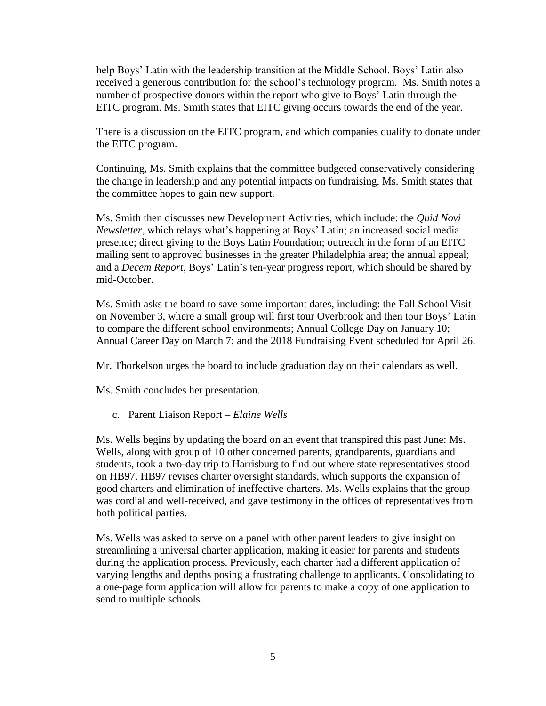help Boys' Latin with the leadership transition at the Middle School. Boys' Latin also received a generous contribution for the school's technology program. Ms. Smith notes a number of prospective donors within the report who give to Boys' Latin through the EITC program. Ms. Smith states that EITC giving occurs towards the end of the year.

There is a discussion on the EITC program, and which companies qualify to donate under the EITC program.

Continuing, Ms. Smith explains that the committee budgeted conservatively considering the change in leadership and any potential impacts on fundraising. Ms. Smith states that the committee hopes to gain new support.

Ms. Smith then discusses new Development Activities, which include: the *Quid Novi Newsletter*, which relays what's happening at Boys' Latin; an increased social media presence; direct giving to the Boys Latin Foundation; outreach in the form of an EITC mailing sent to approved businesses in the greater Philadelphia area; the annual appeal; and a *Decem Report*, Boys' Latin's ten-year progress report, which should be shared by mid-October.

Ms. Smith asks the board to save some important dates, including: the Fall School Visit on November 3, where a small group will first tour Overbrook and then tour Boys' Latin to compare the different school environments; Annual College Day on January 10; Annual Career Day on March 7; and the 2018 Fundraising Event scheduled for April 26.

Mr. Thorkelson urges the board to include graduation day on their calendars as well.

Ms. Smith concludes her presentation.

c. Parent Liaison Report – *Elaine Wells*

Ms. Wells begins by updating the board on an event that transpired this past June: Ms. Wells, along with group of 10 other concerned parents, grandparents, guardians and students, took a two-day trip to Harrisburg to find out where state representatives stood on HB97. HB97 revises charter oversight standards, which supports the expansion of good charters and elimination of ineffective charters. Ms. Wells explains that the group was cordial and well-received, and gave testimony in the offices of representatives from both political parties.

Ms. Wells was asked to serve on a panel with other parent leaders to give insight on streamlining a universal charter application, making it easier for parents and students during the application process. Previously, each charter had a different application of varying lengths and depths posing a frustrating challenge to applicants. Consolidating to a one-page form application will allow for parents to make a copy of one application to send to multiple schools.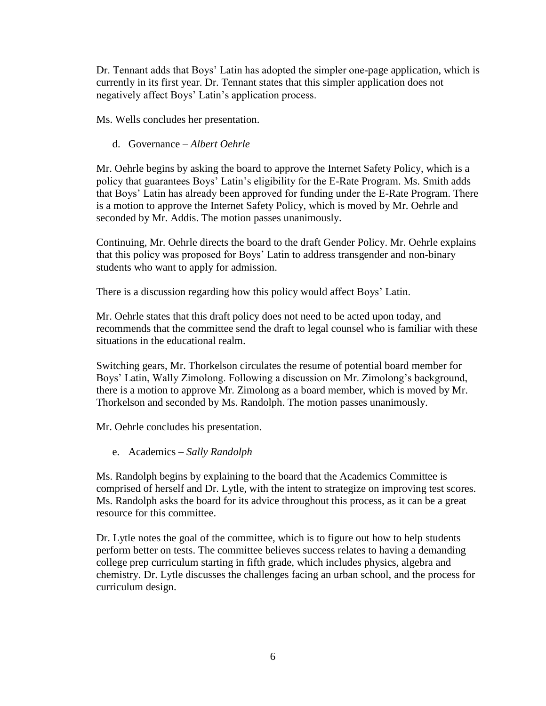Dr. Tennant adds that Boys' Latin has adopted the simpler one-page application, which is currently in its first year. Dr. Tennant states that this simpler application does not negatively affect Boys' Latin's application process.

Ms. Wells concludes her presentation.

d. Governance – *Albert Oehrle*

Mr. Oehrle begins by asking the board to approve the Internet Safety Policy, which is a policy that guarantees Boys' Latin's eligibility for the E-Rate Program. Ms. Smith adds that Boys' Latin has already been approved for funding under the E-Rate Program. There is a motion to approve the Internet Safety Policy, which is moved by Mr. Oehrle and seconded by Mr. Addis. The motion passes unanimously.

Continuing, Mr. Oehrle directs the board to the draft Gender Policy. Mr. Oehrle explains that this policy was proposed for Boys' Latin to address transgender and non-binary students who want to apply for admission.

There is a discussion regarding how this policy would affect Boys' Latin.

Mr. Oehrle states that this draft policy does not need to be acted upon today, and recommends that the committee send the draft to legal counsel who is familiar with these situations in the educational realm.

Switching gears, Mr. Thorkelson circulates the resume of potential board member for Boys' Latin, Wally Zimolong. Following a discussion on Mr. Zimolong's background, there is a motion to approve Mr. Zimolong as a board member, which is moved by Mr. Thorkelson and seconded by Ms. Randolph. The motion passes unanimously.

Mr. Oehrle concludes his presentation.

e. Academics – *Sally Randolph*

Ms. Randolph begins by explaining to the board that the Academics Committee is comprised of herself and Dr. Lytle, with the intent to strategize on improving test scores. Ms. Randolph asks the board for its advice throughout this process, as it can be a great resource for this committee.

Dr. Lytle notes the goal of the committee, which is to figure out how to help students perform better on tests. The committee believes success relates to having a demanding college prep curriculum starting in fifth grade, which includes physics, algebra and chemistry. Dr. Lytle discusses the challenges facing an urban school, and the process for curriculum design.